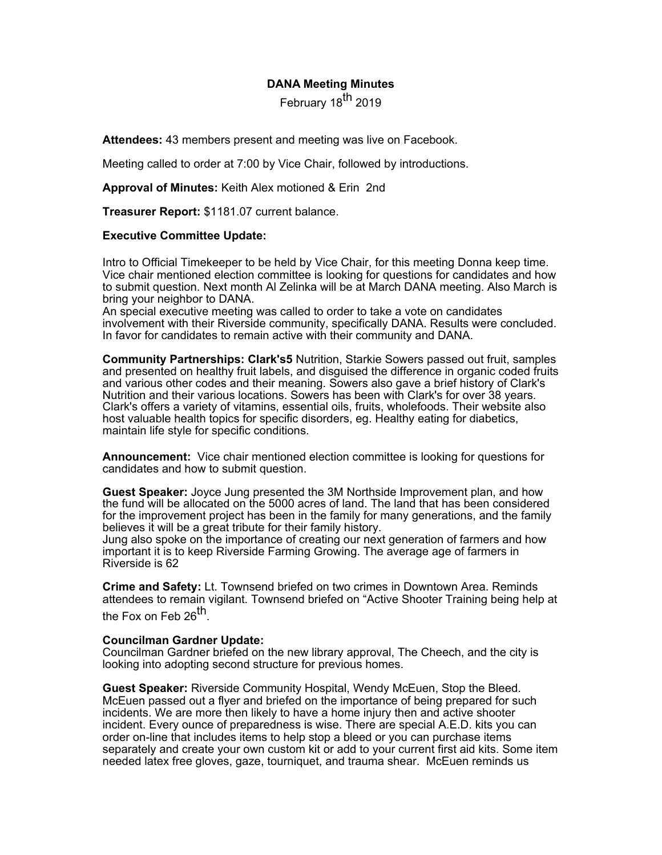# **DANA Meeting Minutes**

February 18<sup>th</sup> 2019

**Attendees:** 43 members present and meeting was live on Facebook.

Meeting called to order at 7:00 by Vice Chair, followed by introductions.

**Approval of Minutes:** Keith Alex motioned & Erin 2nd

**Treasurer Report:** \$1181.07 current balance.

#### **Executive Committee Update:**

Intro to Official Timekeeper to be held by Vice Chair, for this meeting Donna keep time. Vice chair mentioned election committee is looking for questions for candidates and how to submit question. Next month Al Zelinka will be at March DANA meeting. Also March is bring your neighbor to DANA.

An special executive meeting was called to order to take a vote on candidates involvement with their Riverside community, specifically DANA. Results were concluded. In favor for candidates to remain active with their community and DANA.

**Community Partnerships: Clark's5** Nutrition, Starkie Sowers passed out fruit, samples and presented on healthy fruit labels, and disguised the difference in organic coded fruits and various other codes and their meaning. Sowers also gave a brief history of Clark's Nutrition and their various locations. Sowers has been with Clark's for over 38 years. Clark's offers a variety of vitamins, essential oils, fruits, wholefoods. Their website also host valuable health topics for specific disorders, eg. Healthy eating for diabetics, maintain life style for specific conditions.

**Announcement:** Vice chair mentioned election committee is looking for questions for candidates and how to submit question.

**Guest Speaker:** Joyce Jung presented the 3M Northside Improvement plan, and how the fund will be allocated on the 5000 acres of land. The land that has been considered for the improvement project has been in the family for many generations, and the family believes it will be a great tribute for their family history.

Jung also spoke on the importance of creating our next generation of farmers and how important it is to keep Riverside Farming Growing. The average age of farmers in Riverside is 62

**Crime and Safety:** Lt. Townsend briefed on two crimes in Downtown Area. Reminds attendees to remain vigilant. Townsend briefed on "Active Shooter Training being help at the Fox on Feb  $26<sup>th</sup>$ .

#### **Councilman Gardner Update:**

Councilman Gardner briefed on the new library approval, The Cheech, and the city is looking into adopting second structure for previous homes.

**Guest Speaker:** Riverside Community Hospital, Wendy McEuen, Stop the Bleed. McEuen passed out a flyer and briefed on the importance of being prepared for such incidents. We are more then likely to have a home injury then and active shooter incident. Every ounce of preparedness is wise. There are special A.E.D. kits you can order on-line that includes items to help stop a bleed or you can purchase items separately and create your own custom kit or add to your current first aid kits. Some item needed latex free gloves, gaze, tourniquet, and trauma shear. McEuen reminds us